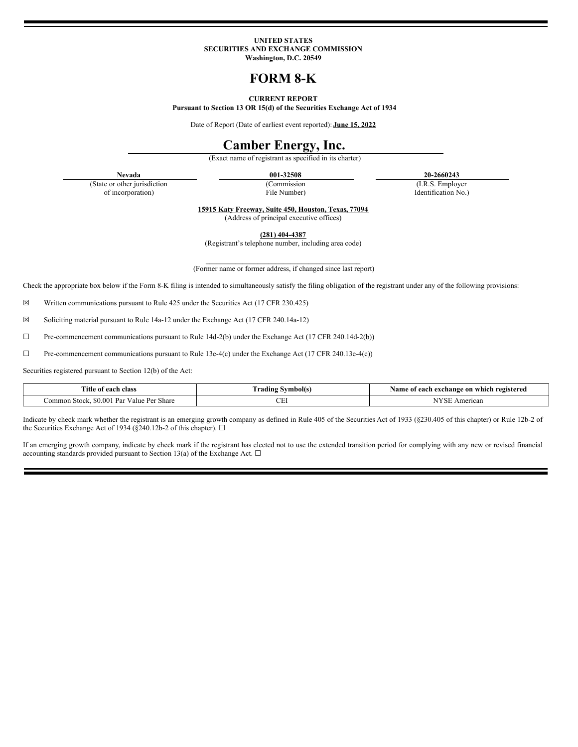### **UNITED STATES SECURITIES AND EXCHANGE COMMISSION Washington, D.C. 20549**

# **FORM 8-K**

### **CURRENT REPORT**

**Pursuant to Section 13 OR 15(d) of the Securities Exchange Act of 1934**

Date of Report (Date of earliest event reported): **June 15, 2022**

## **Camber Energy, Inc.**

(Exact name of registrant as specified in its charter)

(State or other jurisdiction of incorporation)

(Commission File Number)

**Nevada 001-32508 20-2660243**

(I.R.S. Employer Identification No.)

**15915 Katy Freeway, Suite 450, Houston, Texas, 77094** (Address of principal executive offices)

**(281) 404-4387** (Registrant's telephone number, including area code)

\_\_\_\_\_\_\_\_\_\_\_\_\_\_\_\_\_\_\_\_\_\_\_\_\_\_\_\_\_\_\_\_\_\_\_\_\_\_\_\_\_\_ (Former name or former address, if changed since last report)

Check the appropriate box below if the Form 8-K filing is intended to simultaneously satisfy the filing obligation of the registrant under any of the following provisions:

☒ Written communications pursuant to Rule 425 under the Securities Act (17 CFR 230.425)

☒ Soliciting material pursuant to Rule 14a-12 under the Exchange Act (17 CFR 240.14a-12)

☐ Pre-commencement communications pursuant to Rule 14d-2(b) under the Exchange Act (17 CFR 240.14d-2(b))

☐ Pre-commencement communications pursuant to Rule 13e-4(c) under the Exchange Act (17 CFR 240.13e-4(c))

Securities registered pursuant to Section 12(b) of the Act:

| Title of each class                                         | Symbol(s)<br>. radıng | which registered<br>Name<br>exchange on<br>each<br>01 |
|-------------------------------------------------------------|-----------------------|-------------------------------------------------------|
| n.<br>Par<br>80<br>120<br>Share<br>.ommor<br>Stock<br>'alue | $\sim$ r $\sim$<br>◡∸ | ncan<br>m<br>יי                                       |

Indicate by check mark whether the registrant is an emerging growth company as defined in Rule 405 of the Securities Act of 1933 (§230.405 of this chapter) or Rule 12b-2 of the Securities Exchange Act of 1934 (§240.12b-2 of this chapter).  $\Box$ 

If an emerging growth company, indicate by check mark if the registrant has elected not to use the extended transition period for complying with any new or revised financial accounting standards provided pursuant to Section 13(a) of the Exchange Act.  $\square$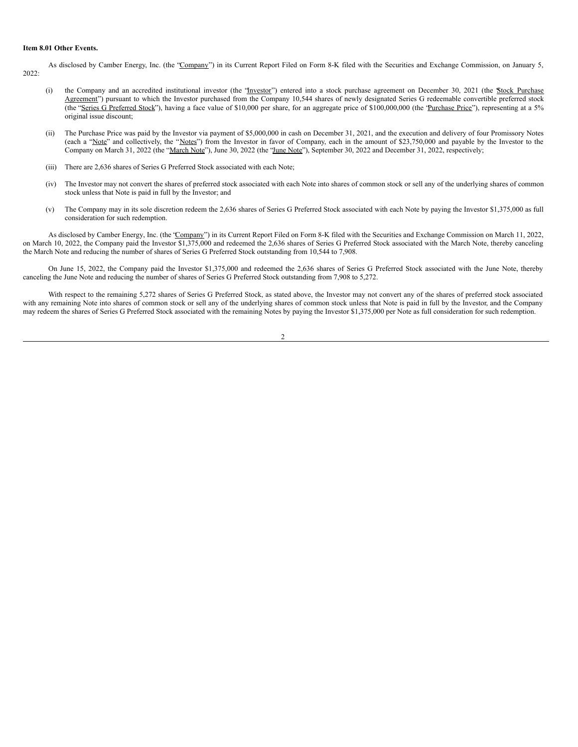#### **Item 8.01 Other Events.**

As disclosed by Camber Energy, Inc. (the 'Company') in its Current Report Filed on Form 8-K filed with the Securities and Exchange Commission, on January 5, 2022:

- (i) the Company and an accredited institutional investor (the '*Investor*") entered into a stock purchase agreement on December 30, 2021 (the *Stock Purchase* Agreement") pursuant to which the Investor purchased from the Company 10,544 shares of newly designated Series G redeemable convertible preferred stock (the "Series G Preferred Stock"), having a face value of \$10,000 per share, for an aggregate price of \$100,000,000 (the "Purchase Price"), representing at a 5% original issue discount;
- (ii) The Purchase Price was paid by the Investor via payment of \$5,000,000 in cash on December 31, 2021, and the execution and delivery of four Promissory Notes (each a "Note" and collectively, the "Notes") from the Investor in favor of Company, each in the amount of \$23,750,000 and payable by the Investor to the Company on March 31, 2022 (the "March Note"), June 30, 2022 (the "June Note"), September 30, 2022 and December 31, 2022, respectively;
- (iii) There are 2,636 shares of Series G Preferred Stock associated with each Note;
- (iv) The Investor may not convert the shares of preferred stock associated with each Note into shares of common stock or sell any of the underlying shares of common stock unless that Note is paid in full by the Investor; and
- (v) The Company may in its sole discretion redeem the 2,636 shares of Series G Preferred Stock associated with each Note by paying the Investor \$1,375,000 as full consideration for such redemption.

As disclosed by Camber Energy, Inc. (the 'Company'') in its Current Report Filed on Form 8-K filed with the Securities and Exchange Commission on March 11, 2022, on March 10, 2022, the Company paid the Investor \$1,375,000 and redeemed the 2,636 shares of Series G Preferred Stock associated with the March Note, thereby canceling the March Note and reducing the number of shares of Series G Preferred Stock outstanding from 10,544 to 7,908.

On June 15, 2022, the Company paid the Investor \$1,375,000 and redeemed the 2,636 shares of Series G Preferred Stock associated with the June Note, thereby canceling the June Note and reducing the number of shares of Series G Preferred Stock outstanding from 7,908 to 5,272.

With respect to the remaining 5,272 shares of Series G Preferred Stock, as stated above, the Investor may not convert any of the shares of preferred stock associated with any remaining Note into shares of common stock or sell any of the underlying shares of common stock unless that Note is paid in full by the Investor, and the Company may redeem the shares of Series G Preferred Stock associated with the remaining Notes by paying the Investor \$1,375,000 per Note as full consideration for such redemption.

 $\overline{2}$